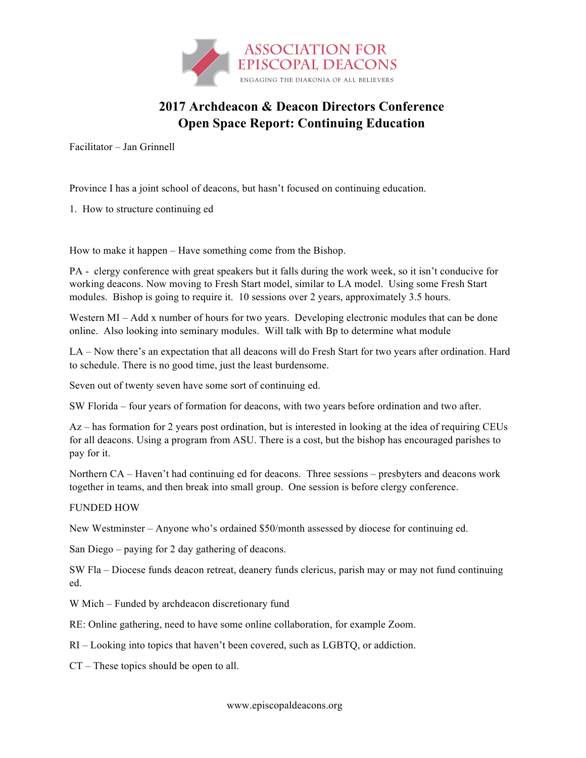

## **2017 Archdeacon & Deacon Directors Conference Open Space Report: Continuing Education**

Facilitator – Jan Grinnell

Province I has a joint school of deacons, but hasn't focused on continuing education.

1. How to structure continuing ed

How to make it happen – Have something come from the Bishop.

PA - clergy conference with great speakers but it falls during the work week, so it isn't conducive for working deacons. Now moving to Fresh Start model, similar to LA model. Using some Fresh Start modules. Bishop is going to require it. 10 sessions over 2 years, approximately 3.5 hours.

Western MI – Add x number of hours for two years. Developing electronic modules that can be done online. Also looking into seminary modules. Will talk with Bp to determine what module

LA – Now there's an expectation that all deacons will do Fresh Start for two years after ordination. Hard to schedule. There is no good time, just the least burdensome.

Seven out of twenty seven have some sort of continuing ed.

SW Florida – four years of formation for deacons, with two years before ordination and two after.

Az – has formation for 2 years post ordination, but is interested in looking at the idea of requiring CEUs for all deacons. Using a program from ASU. There is a cost, but the bishop has encouraged parishes to pay for it.

Northern CA – Haven't had continuing ed for deacons. Three sessions – presbyters and deacons work together in teams, and then break into small group. One session is before clergy conference.

## FUNDED HOW

New Westminster – Anyone who's ordained \$50/month assessed by diocese for continuing ed.

San Diego – paying for 2 day gathering of deacons.

SW Fla – Diocese funds deacon retreat, deanery funds clericus, parish may or may not fund continuing ed.

W Mich – Funded by archdeacon discretionary fund

RE: Online gathering, need to have some online collaboration, for example Zoom.

RI – Looking into topics that haven't been covered, such as LGBTQ, or addiction.

CT – These topics should be open to all.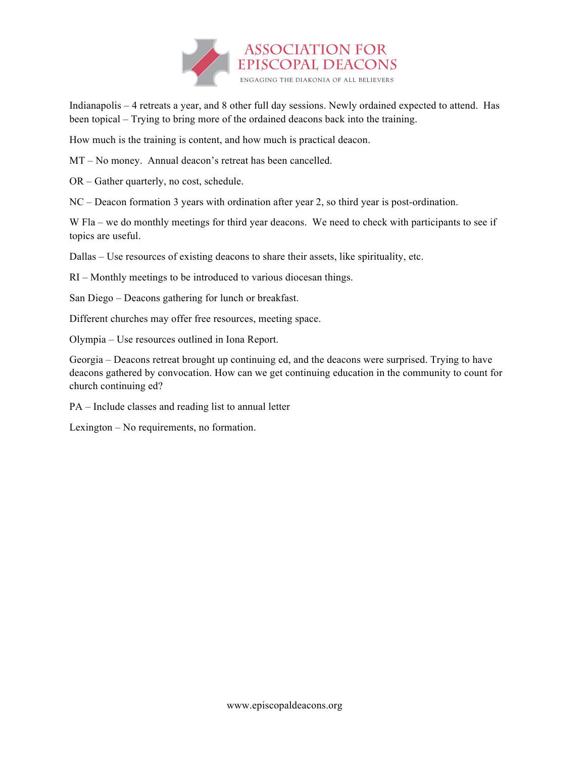

Indianapolis – 4 retreats a year, and 8 other full day sessions. Newly ordained expected to attend. Has been topical – Trying to bring more of the ordained deacons back into the training.

How much is the training is content, and how much is practical deacon.

MT – No money. Annual deacon's retreat has been cancelled.

OR – Gather quarterly, no cost, schedule.

NC – Deacon formation 3 years with ordination after year 2, so third year is post-ordination.

W Fla – we do monthly meetings for third year deacons. We need to check with participants to see if topics are useful.

Dallas – Use resources of existing deacons to share their assets, like spirituality, etc.

RI – Monthly meetings to be introduced to various diocesan things.

San Diego – Deacons gathering for lunch or breakfast.

Different churches may offer free resources, meeting space.

Olympia – Use resources outlined in Iona Report.

Georgia – Deacons retreat brought up continuing ed, and the deacons were surprised. Trying to have deacons gathered by convocation. How can we get continuing education in the community to count for church continuing ed?

PA – Include classes and reading list to annual letter

Lexington – No requirements, no formation.